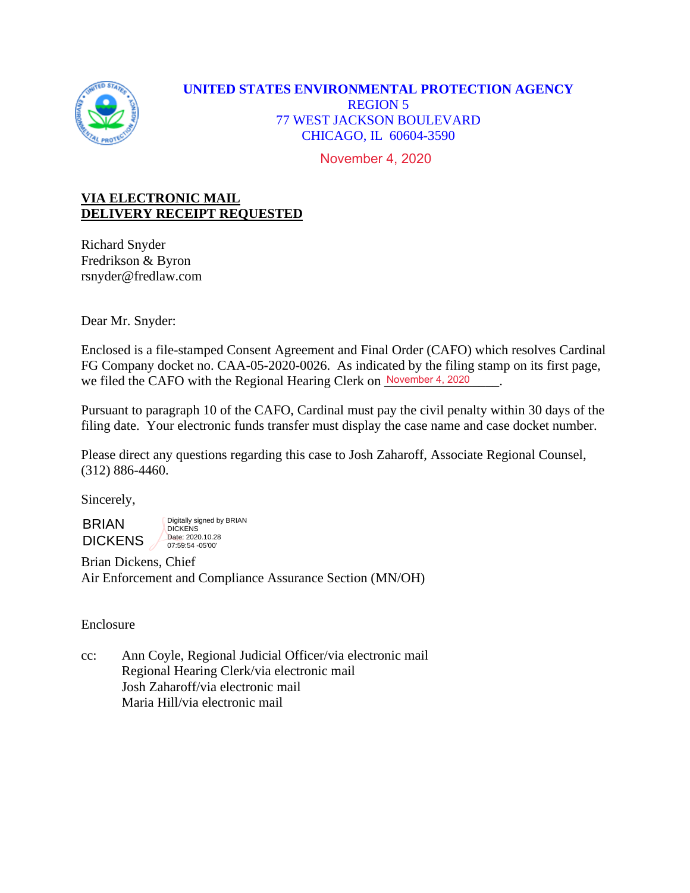

# **UNITED STATES ENVIRONMENTAL PROTECTION AGENCY** REGION 5 77 WEST JACKSON BOULEVARD CHICAGO, IL 60604-3590

November 4, 2020

# **VIA ELECTRONIC MAIL DELIVERY RECEIPT REQUESTED**

Richard Snyder Fredrikson & Byron rsnyder@fredlaw.com

Dear Mr. Snyder:

Enclosed is a file-stamped Consent Agreement and Final Order (CAFO) which resolves Cardinal FG Company docket no. CAA-05-2020-0026. As indicated by the filing stamp on its first page, we filed the CAFO with the Regional Hearing Clerk on November 4, 2020

Pursuant to paragraph 10 of the CAFO, Cardinal must pay the civil penalty within 30 days of the filing date. Your electronic funds transfer must display the case name and case docket number.

Please direct any questions regarding this case to Josh Zaharoff, Associate Regional Counsel, (312) 886-4460.

Sincerely,

BRIAN **DICKENS** 

Digitally signed by BRIAN **DICKENS** Date: 2020.10.28 07:59:54 -05'00'

Brian Dickens, Chief Air Enforcement and Compliance Assurance Section (MN/OH)

## Enclosure

cc: Ann Coyle, Regional Judicial Officer/via electronic mail Regional Hearing Clerk/via electronic mail Josh Zaharoff/via electronic mail Maria Hill/via electronic mail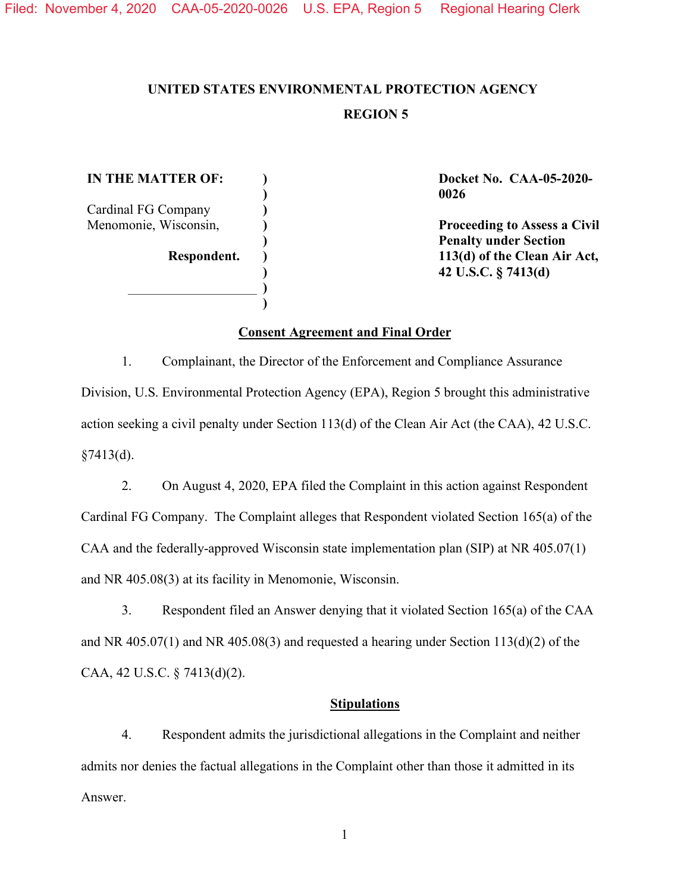**) ) ) ) ) ) ) ) )**

# **UNITED STATES ENVIRONMENTAL PROTECTION AGENCY REGION 5**

**IN THE MATTER OF:** Cardinal FG Company Menomonie, Wisconsin, **Respondent.** **Docket No. CAA-05-2020- 0026**

**Proceeding to Assess a Civil Penalty under Section 113(d) of the Clean Air Act, 42 U.S.C. § 7413(d)**

#### **Consent Agreement and Final Order**

1. Complainant, the Director of the Enforcement and Compliance Assurance Division, U.S. Environmental Protection Agency (EPA), Region 5 brought this administrative action seeking a civil penalty under Section 113(d) of the Clean Air Act (the CAA), 42 U.S.C.  $§7413(d).$ 

2. On August 4, 2020, EPA filed the Complaint in this action against Respondent Cardinal FG Company. The Complaint alleges that Respondent violated Section 165(a) of the CAA and the federally-approved Wisconsin state implementation plan (SIP) at NR 405.07(1) and NR 405.08(3) at its facility in Menomonie, Wisconsin.

3. Respondent filed an Answer denying that it violated Section 165(a) of the CAA and NR 405.07(1) and NR 405.08(3) and requested a hearing under Section  $113(d)(2)$  of the CAA, 42 U.S.C. § 7413(d)(2).

#### **Stipulations**

4. Respondent admits the jurisdictional allegations in the Complaint and neither admits nor denies the factual allegations in the Complaint other than those it admitted in its Answer.

1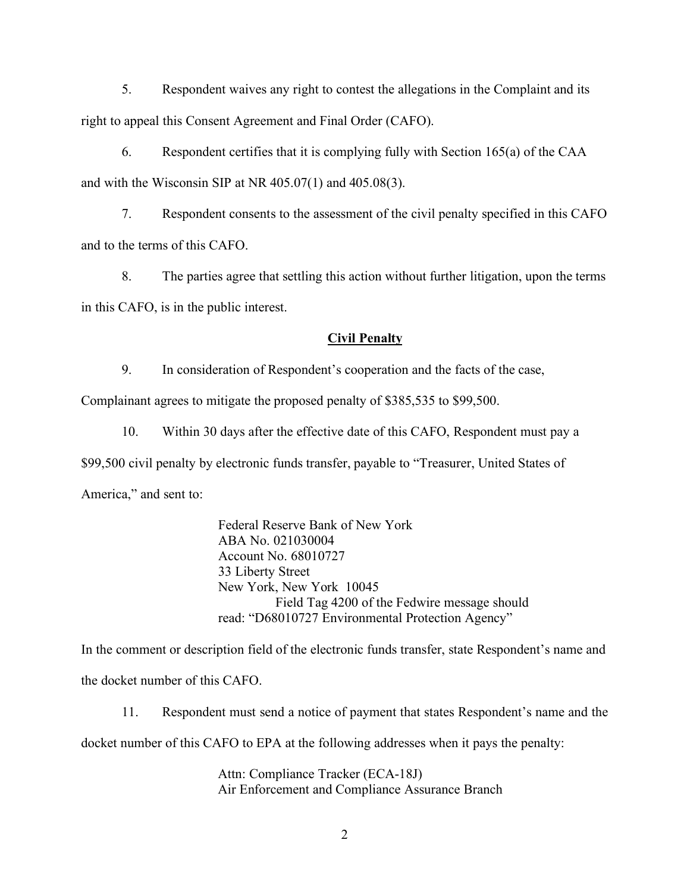5. Respondent waives any right to contest the allegations in the Complaint and its right to appeal this Consent Agreement and Final Order (CAFO).

6. Respondent certifies that it is complying fully with Section 165(a) of the CAA and with the Wisconsin SIP at NR 405.07(1) and 405.08(3).

7. Respondent consents to the assessment of the civil penalty specified in this CAFO and to the terms of this CAFO.

8. The parties agree that settling this action without further litigation, upon the terms in this CAFO, is in the public interest.

#### **Civil Penalty**

9. In consideration of Respondent's cooperation and the facts of the case,

Complainant agrees to mitigate the proposed penalty of \$385,535 to \$99,500.

10. Within 30 days after the effective date of this CAFO, Respondent must pay a \$99,500 civil penalty by electronic funds transfer, payable to "Treasurer, United States of America," and sent to:

> Federal Reserve Bank of New York ABA No. 021030004 Account No. 68010727 33 Liberty Street New York, New York 10045 Field Tag 4200 of the Fedwire message should read: "D68010727 Environmental Protection Agency"

In the comment or description field of the electronic funds transfer, state Respondent's name and the docket number of this CAFO.

11. Respondent must send a notice of payment that states Respondent's name and the docket number of this CAFO to EPA at the following addresses when it pays the penalty:

> Attn: Compliance Tracker (ECA-18J) Air Enforcement and Compliance Assurance Branch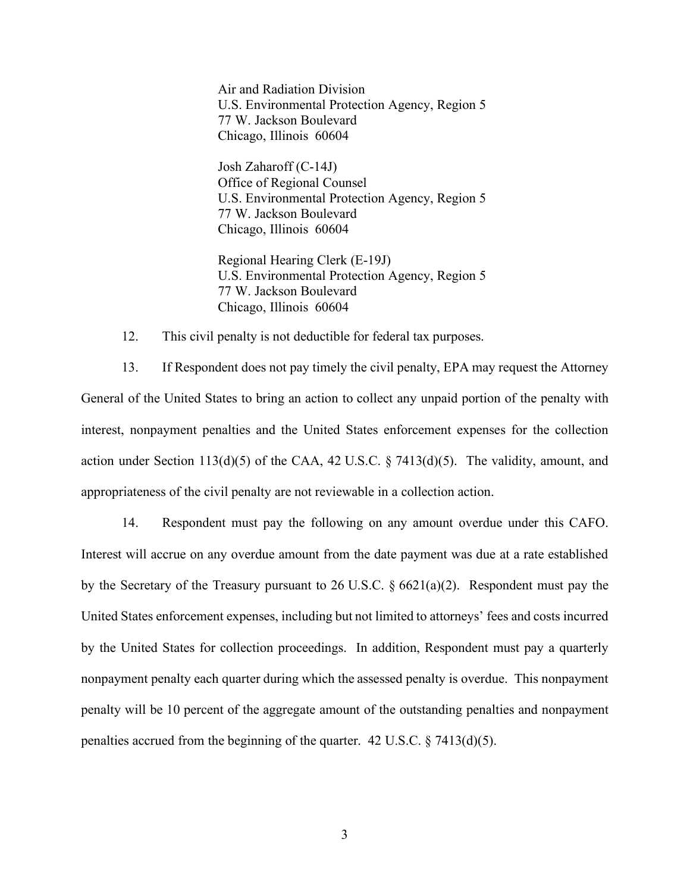Air and Radiation Division U.S. Environmental Protection Agency, Region 5 77 W. Jackson Boulevard Chicago, Illinois 60604

Josh Zaharoff (C-14J) Office of Regional Counsel U.S. Environmental Protection Agency, Region 5 77 W. Jackson Boulevard Chicago, Illinois 60604

Regional Hearing Clerk (E-19J) U.S. Environmental Protection Agency, Region 5 77 W. Jackson Boulevard Chicago, Illinois 60604

12. This civil penalty is not deductible for federal tax purposes.

13. If Respondent does not pay timely the civil penalty, EPA may request the Attorney General of the United States to bring an action to collect any unpaid portion of the penalty with interest, nonpayment penalties and the United States enforcement expenses for the collection action under Section 113(d)(5) of the CAA, 42 U.S.C.  $\S$  7413(d)(5). The validity, amount, and appropriateness of the civil penalty are not reviewable in a collection action.

14. Respondent must pay the following on any amount overdue under this CAFO. Interest will accrue on any overdue amount from the date payment was due at a rate established by the Secretary of the Treasury pursuant to 26 U.S.C. § 6621(a)(2). Respondent must pay the United States enforcement expenses, including but not limited to attorneys' fees and costs incurred by the United States for collection proceedings. In addition, Respondent must pay a quarterly nonpayment penalty each quarter during which the assessed penalty is overdue. This nonpayment penalty will be 10 percent of the aggregate amount of the outstanding penalties and nonpayment penalties accrued from the beginning of the quarter.  $42 \text{ U.S.C.} \$   $37413\text{ (d)}(5)$ .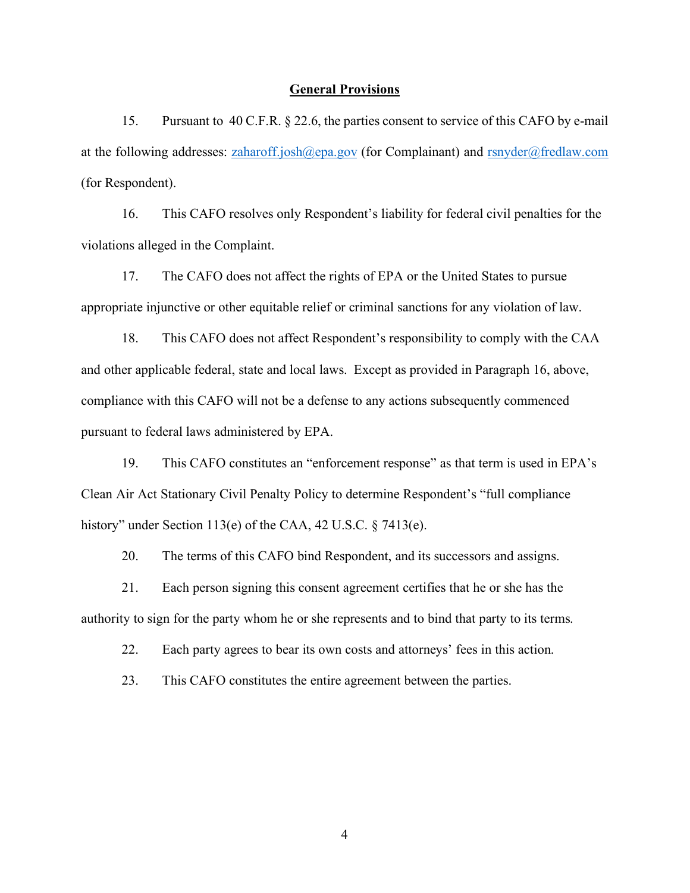#### **General Provisions**

15. Pursuant to 40 C.F.R. § 22.6, the parties consent to service of this CAFO by e-mail at the following addresses:  $zaharoff.~josh(@epa.gov)$  (for Complainant) and  $rsnyder@fredlaw.com$ (for Respondent).

16. This CAFO resolves only Respondent's liability for federal civil penalties for the violations alleged in the Complaint.

17. The CAFO does not affect the rights of EPA or the United States to pursue appropriate injunctive or other equitable relief or criminal sanctions for any violation of law.

18. This CAFO does not affect Respondent's responsibility to comply with the CAA and other applicable federal, state and local laws. Except as provided in Paragraph 16, above, compliance with this CAFO will not be a defense to any actions subsequently commenced pursuant to federal laws administered by EPA.

19. This CAFO constitutes an "enforcement response" as that term is used in EPA's Clean Air Act Stationary Civil Penalty Policy to determine Respondent's "full compliance history" under Section 113(e) of the CAA, 42 U.S.C. § 7413(e).

20. The terms of this CAFO bind Respondent, and its successors and assigns.

21. Each person signing this consent agreement certifies that he or she has the authority to sign for the party whom he or she represents and to bind that party to its terms.

22. Each party agrees to bear its own costs and attorneys' fees in this action.

23. This CAFO constitutes the entire agreement between the parties.

4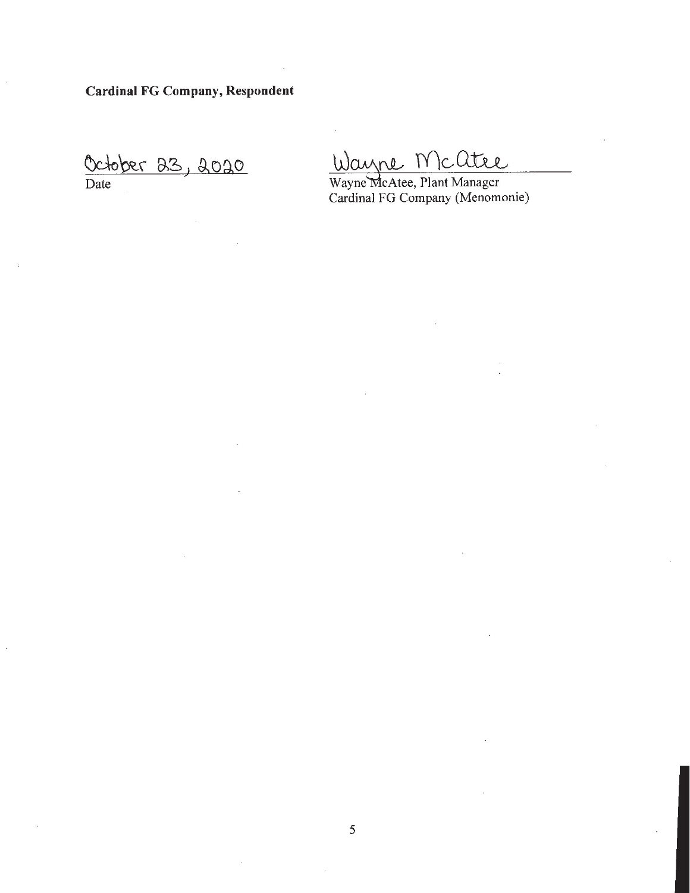**Cardinal FG Company, Respondent** 

October 23, 2020

Wayne Mcatee

Wayne McAtee, Plant Manager Cardinal FG Company (Menomonie)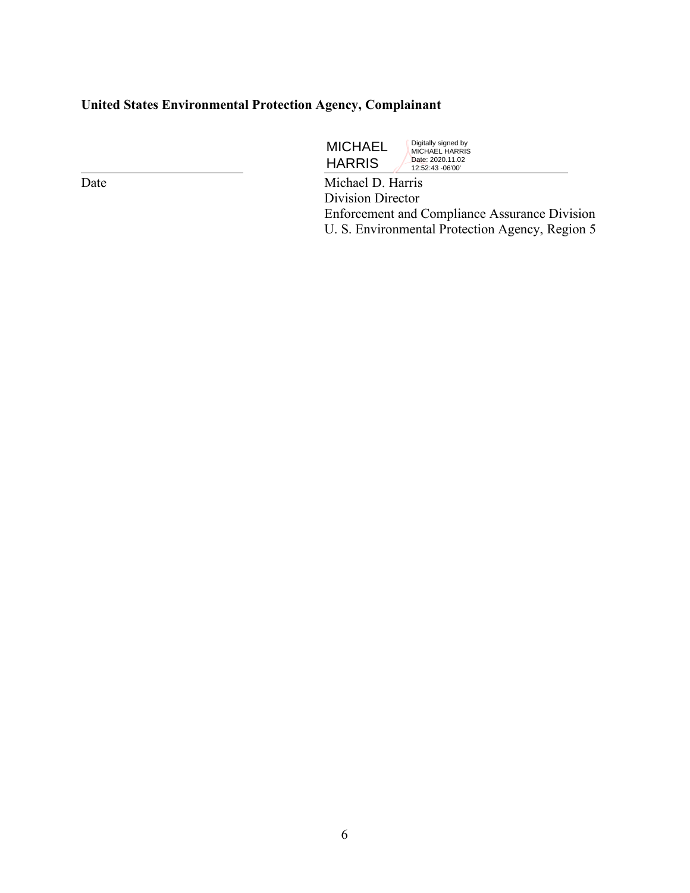# **United States Environmental Protection Agency, Complainant**

 $\overline{a}$ 

MICHAEL HARRIS Digitally signed by MICHAEL HARRIS Date: 2020.11.02 12:52:43 -06'00'

Date Michael D. Harris Division Director Enforcement and Compliance Assurance Division U. S. Environmental Protection Agency, Region 5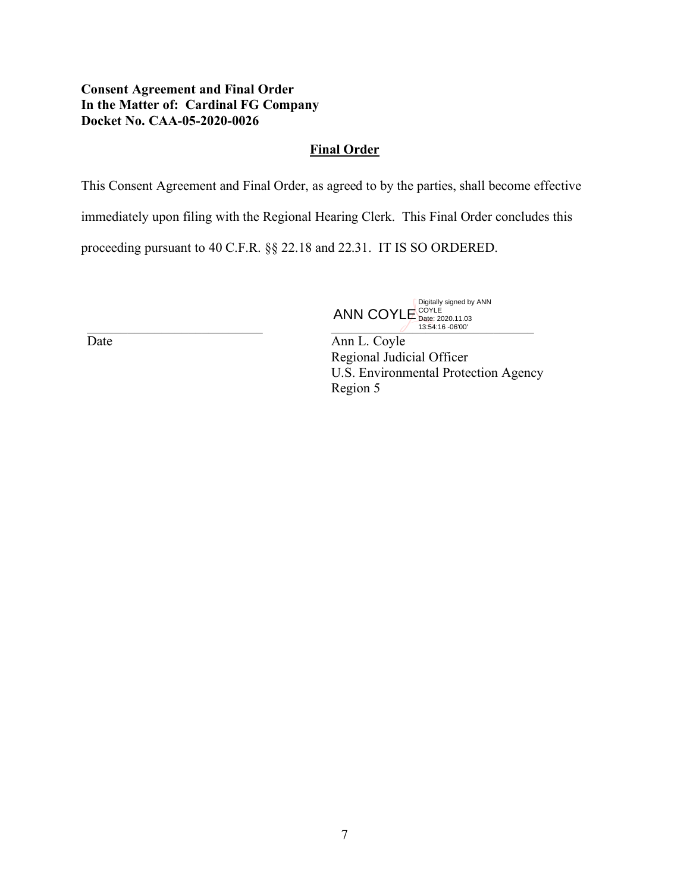### **Consent Agreement and Final Order In the Matter of: Cardinal FG Company Docket No. CAA-05-2020-0026**

### **Final Order**

This Consent Agreement and Final Order, as agreed to by the parties, shall become effective

immediately upon filing with the Regional Hearing Clerk. This Final Order concludes this

proceeding pursuant to 40 C.F.R. §§ 22.18 and 22.31. IT IS SO ORDERED.

 $\frac{\text{Data: } 2020.1103}{13.54.16 \cdot 06'00'}.$ ANN COYLE Digitally signed by ANN COYLE Date: 2020.11.03 13:54:16 -06'00'

Ann L. Coyle Regional Judicial Officer U.S. Environmental Protection Agency Region 5

Date